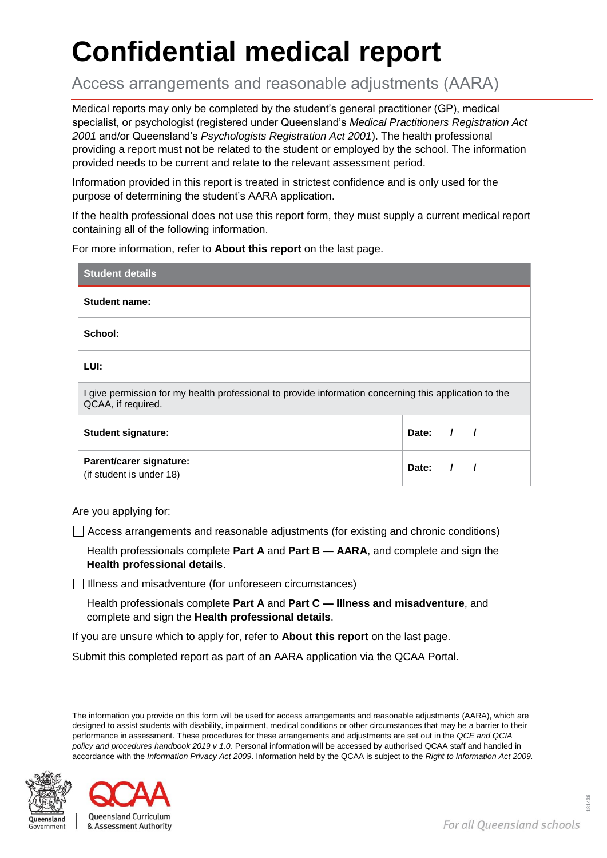# **Confidential medical report**

Access arrangements and reasonable adjustments (AARA)

Medical reports may only be completed by the student's general practitioner (GP), medical specialist, or psychologist (registered under Queensland's *Medical Practitioners Registration Act 2001* and/or Queensland's *Psychologists Registration Act 2001*). The health professional providing a report must not be related to the student or employed by the school. The information provided needs to be current and relate to the relevant assessment period.

Information provided in this report is treated in strictest confidence and is only used for the purpose of determining the student's AARA application.

If the health professional does not use this report form, they must supply a current medical report containing all of the following information.

For more information, refer to **About this report** on the last page.

| <b>Student details</b>                                                                                                       |  |           |  |                          |
|------------------------------------------------------------------------------------------------------------------------------|--|-----------|--|--------------------------|
| Student name:                                                                                                                |  |           |  |                          |
| School:                                                                                                                      |  |           |  |                          |
| LUI:                                                                                                                         |  |           |  |                          |
| I give permission for my health professional to provide information concerning this application to the<br>QCAA, if required. |  |           |  |                          |
| <b>Student signature:</b>                                                                                                    |  | Date: $/$ |  | $\overline{\phantom{a}}$ |
| Parent/carer signature:<br>(if student is under 18)                                                                          |  | Date:     |  |                          |

Are you applying for:

 $\Box$  Access arrangements and reasonable adjustments (for existing and chronic conditions)

Health professionals complete **Part A** and **Part B — AARA**, and complete and sign the **Health professional details**.

 $\Box$  Illness and misadventure (for unforeseen circumstances)

Health professionals complete **Part A** and **Part C — Illness and misadventure**, and complete and sign the **Health professional details**.

If you are unsure which to apply for, refer to **About this report** on the last page.

Submit this completed report as part of an AARA application via the QCAA Portal.

The information you provide on this form will be used for access arrangements and reasonable adjustments (AARA), which are designed to assist students with disability, impairment, medical conditions or other circumstances that may be a barrier to their performance in assessment. These procedures for these arrangements and adjustments are set out in the *QCE and QCIA policy and procedures handbook 2019 v 1.0*. Personal information will be accessed by authorised QCAA staff and handled in accordance with the *Information Privacy Act 2009*. Information held by the QCAA is subject to the *Right to Information Act 2009.*



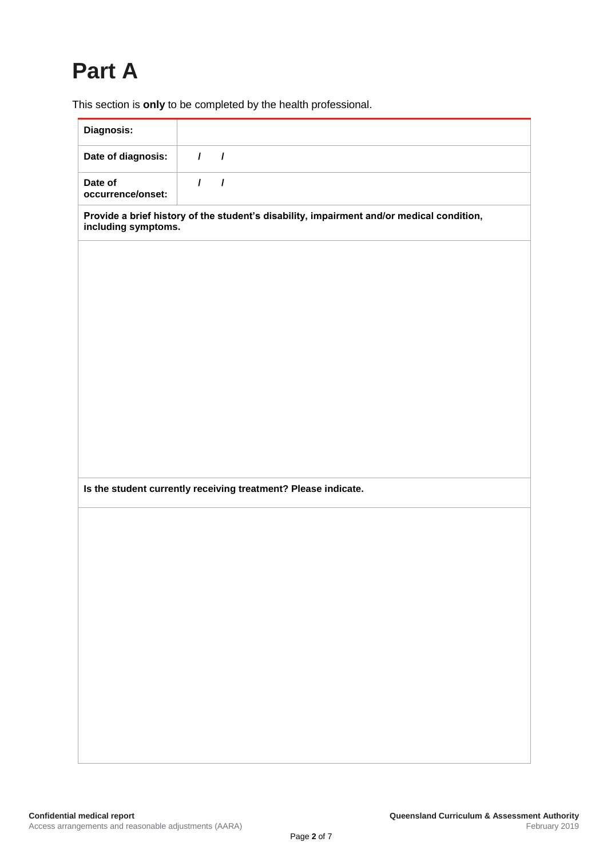# **Part A**

This section is **only** to be completed by the health professional.

| Diagnosis:                                                                                                       |          |          |  |  |  |  |
|------------------------------------------------------------------------------------------------------------------|----------|----------|--|--|--|--|
| Date of diagnosis:                                                                                               | $\prime$ | $\prime$ |  |  |  |  |
| Date of<br>occurrence/onset:                                                                                     | $\prime$ | $\prime$ |  |  |  |  |
| Provide a brief history of the student's disability, impairment and/or medical condition,<br>including symptoms. |          |          |  |  |  |  |
|                                                                                                                  |          |          |  |  |  |  |
|                                                                                                                  |          |          |  |  |  |  |
|                                                                                                                  |          |          |  |  |  |  |
|                                                                                                                  |          |          |  |  |  |  |
|                                                                                                                  |          |          |  |  |  |  |
|                                                                                                                  |          |          |  |  |  |  |
|                                                                                                                  |          |          |  |  |  |  |
|                                                                                                                  |          |          |  |  |  |  |
|                                                                                                                  |          |          |  |  |  |  |
| Is the student currently receiving treatment? Please indicate.                                                   |          |          |  |  |  |  |
|                                                                                                                  |          |          |  |  |  |  |
|                                                                                                                  |          |          |  |  |  |  |
|                                                                                                                  |          |          |  |  |  |  |
|                                                                                                                  |          |          |  |  |  |  |
|                                                                                                                  |          |          |  |  |  |  |
|                                                                                                                  |          |          |  |  |  |  |
|                                                                                                                  |          |          |  |  |  |  |
|                                                                                                                  |          |          |  |  |  |  |
|                                                                                                                  |          |          |  |  |  |  |
|                                                                                                                  |          |          |  |  |  |  |
|                                                                                                                  |          |          |  |  |  |  |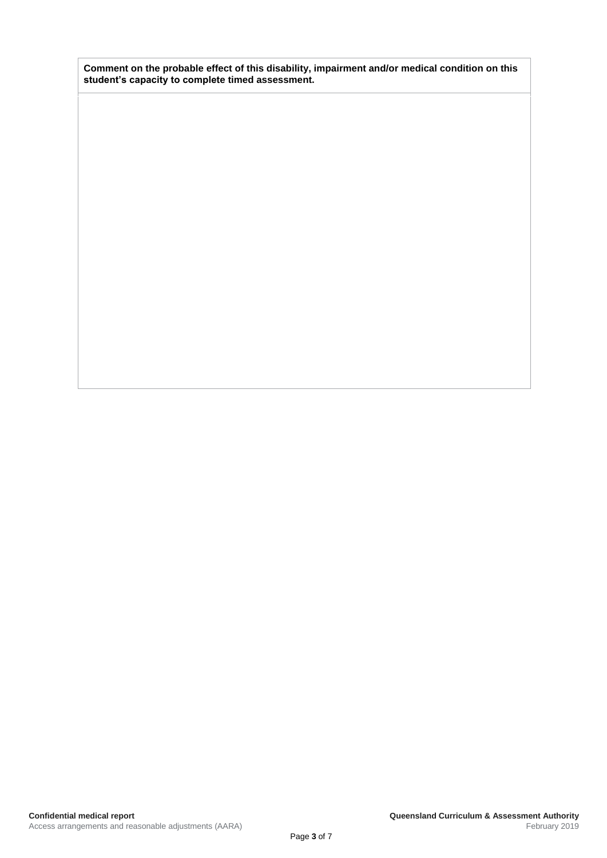**Comment on the probable effect of this disability, impairment and/or medical condition on this student's capacity to complete timed assessment.**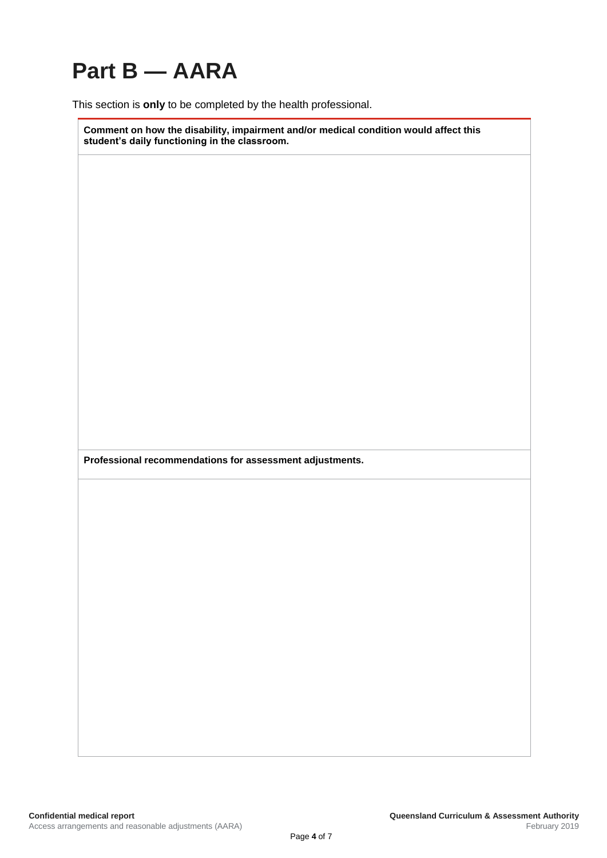# **Part B — AARA**

This section is **only** to be completed by the health professional.

**Comment on how the disability, impairment and/or medical condition would affect this student's daily functioning in the classroom.**

**Professional recommendations for assessment adjustments.**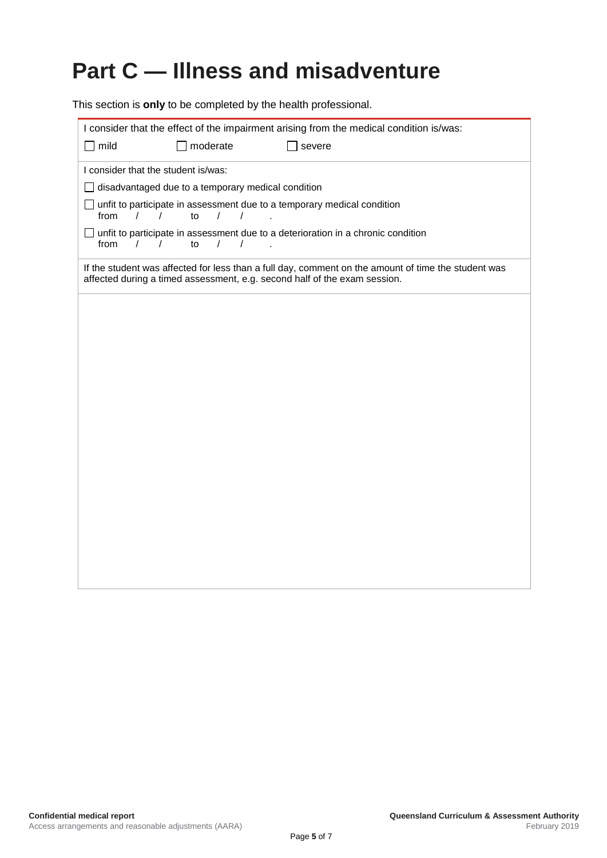# **Part C — Illness and misadventure**

This section is **only** to be completed by the health professional.

| I consider that the effect of the impairment arising from the medical condition is/was:                                                                                          |  |  |  |  |  |
|----------------------------------------------------------------------------------------------------------------------------------------------------------------------------------|--|--|--|--|--|
| mild<br>moderate<br>severe                                                                                                                                                       |  |  |  |  |  |
| I consider that the student is/was:                                                                                                                                              |  |  |  |  |  |
| disadvantaged due to a temporary medical condition                                                                                                                               |  |  |  |  |  |
| unfit to participate in assessment due to a temporary medical condition<br>from<br>$\sqrt{2}$<br>$\frac{1}{2}$<br>to<br>$\sqrt{ }$                                               |  |  |  |  |  |
| unfit to participate in assessment due to a deterioration in a chronic condition<br>from<br>$\prime$<br>to<br>$\prime$<br>$\prime$<br>$\prime$                                   |  |  |  |  |  |
| If the student was affected for less than a full day, comment on the amount of time the student was<br>affected during a timed assessment, e.g. second half of the exam session. |  |  |  |  |  |
|                                                                                                                                                                                  |  |  |  |  |  |
|                                                                                                                                                                                  |  |  |  |  |  |
|                                                                                                                                                                                  |  |  |  |  |  |
|                                                                                                                                                                                  |  |  |  |  |  |
|                                                                                                                                                                                  |  |  |  |  |  |
|                                                                                                                                                                                  |  |  |  |  |  |
|                                                                                                                                                                                  |  |  |  |  |  |
|                                                                                                                                                                                  |  |  |  |  |  |
|                                                                                                                                                                                  |  |  |  |  |  |
|                                                                                                                                                                                  |  |  |  |  |  |
|                                                                                                                                                                                  |  |  |  |  |  |
|                                                                                                                                                                                  |  |  |  |  |  |
|                                                                                                                                                                                  |  |  |  |  |  |
|                                                                                                                                                                                  |  |  |  |  |  |
|                                                                                                                                                                                  |  |  |  |  |  |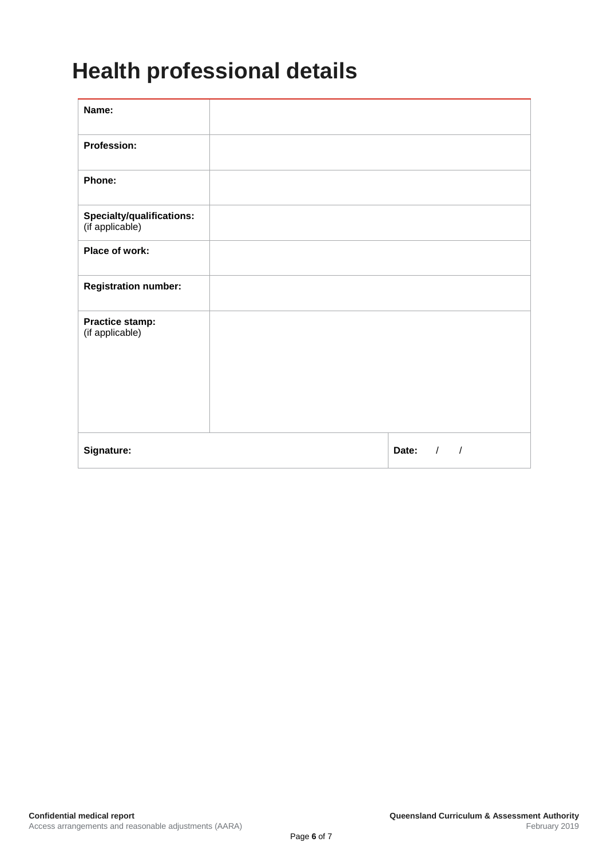### **Health professional details**

| Name:                                        |                                   |
|----------------------------------------------|-----------------------------------|
| Profession:                                  |                                   |
| Phone:                                       |                                   |
| Specialty/qualifications:<br>(if applicable) |                                   |
| Place of work:                               |                                   |
| <b>Registration number:</b>                  |                                   |
| Practice stamp:<br>(if applicable)           |                                   |
| Signature:                                   | Date:<br>$\sqrt{ }$<br>$\sqrt{2}$ |